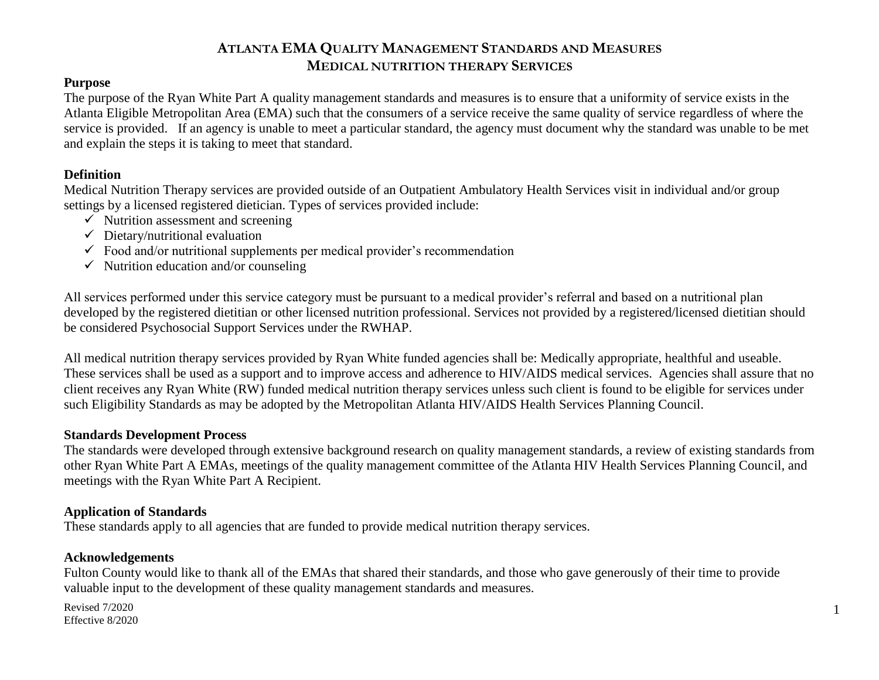#### **Purpose**

The purpose of the Ryan White Part A quality management standards and measures is to ensure that a uniformity of service exists in the Atlanta Eligible Metropolitan Area (EMA) such that the consumers of a service receive the same quality of service regardless of where the service is provided. If an agency is unable to meet a particular standard, the agency must document why the standard was unable to be met and explain the steps it is taking to meet that standard.

#### **Definition**

Medical Nutrition Therapy services are provided outside of an Outpatient Ambulatory Health Services visit in individual and/or group settings by a licensed registered dietician. Types of services provided include:

- $\checkmark$  Nutrition assessment and screening
- $\checkmark$  Dietary/nutritional evaluation
- $\checkmark$  Food and/or nutritional supplements per medical provider's recommendation
- $\checkmark$  Nutrition education and/or counseling

All services performed under this service category must be pursuant to a medical provider's referral and based on a nutritional plan developed by the registered dietitian or other licensed nutrition professional. Services not provided by a registered/licensed dietitian should be considered Psychosocial Support Services under the RWHAP.

All medical nutrition therapy services provided by Ryan White funded agencies shall be: Medically appropriate, healthful and useable. These services shall be used as a support and to improve access and adherence to HIV/AIDS medical services. Agencies shall assure that no client receives any Ryan White (RW) funded medical nutrition therapy services unless such client is found to be eligible for services under such Eligibility Standards as may be adopted by the Metropolitan Atlanta HIV/AIDS Health Services Planning Council.

#### **Standards Development Process**

The standards were developed through extensive background research on quality management standards, a review of existing standards from other Ryan White Part A EMAs, meetings of the quality management committee of the Atlanta HIV Health Services Planning Council, and meetings with the Ryan White Part A Recipient.

#### **Application of Standards**

These standards apply to all agencies that are funded to provide medical nutrition therapy services.

#### **Acknowledgements**

Fulton County would like to thank all of the EMAs that shared their standards, and those who gave generously of their time to provide valuable input to the development of these quality management standards and measures.

Revised 7/2020 Effective 8/2020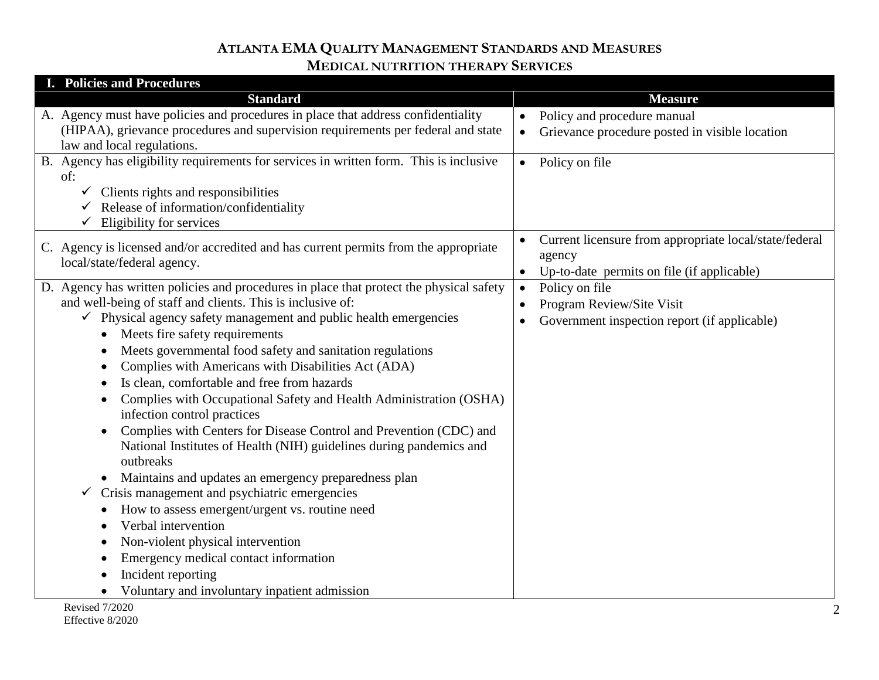| I. Policies and Procedures                                                                                                                                                                                                                                                                                                                                                                                                                                                                                                                                                                                                                                                                                                                                                                                                                                                                                                                                                                                                                                              |                                                                                                                             |
|-------------------------------------------------------------------------------------------------------------------------------------------------------------------------------------------------------------------------------------------------------------------------------------------------------------------------------------------------------------------------------------------------------------------------------------------------------------------------------------------------------------------------------------------------------------------------------------------------------------------------------------------------------------------------------------------------------------------------------------------------------------------------------------------------------------------------------------------------------------------------------------------------------------------------------------------------------------------------------------------------------------------------------------------------------------------------|-----------------------------------------------------------------------------------------------------------------------------|
| <b>Standard</b>                                                                                                                                                                                                                                                                                                                                                                                                                                                                                                                                                                                                                                                                                                                                                                                                                                                                                                                                                                                                                                                         | <b>Measure</b>                                                                                                              |
| A. Agency must have policies and procedures in place that address confidentiality<br>(HIPAA), grievance procedures and supervision requirements per federal and state<br>law and local regulations.                                                                                                                                                                                                                                                                                                                                                                                                                                                                                                                                                                                                                                                                                                                                                                                                                                                                     | Policy and procedure manual<br>$\bullet$<br>Grievance procedure posted in visible location<br>$\bullet$                     |
| B. Agency has eligibility requirements for services in written form. This is inclusive<br>of:<br>$\checkmark$ Clients rights and responsibilities<br>Release of information/confidentiality<br>Eligibility for services                                                                                                                                                                                                                                                                                                                                                                                                                                                                                                                                                                                                                                                                                                                                                                                                                                                 | Policy on file<br>$\bullet$                                                                                                 |
| C. Agency is licensed and/or accredited and has current permits from the appropriate<br>local/state/federal agency.                                                                                                                                                                                                                                                                                                                                                                                                                                                                                                                                                                                                                                                                                                                                                                                                                                                                                                                                                     | Current licensure from appropriate local/state/federal<br>agency<br>Up-to-date permits on file (if applicable)<br>$\bullet$ |
| D. Agency has written policies and procedures in place that protect the physical safety<br>and well-being of staff and clients. This is inclusive of:<br>$\checkmark$ Physical agency safety management and public health emergencies<br>Meets fire safety requirements<br>Meets governmental food safety and sanitation regulations<br>Complies with Americans with Disabilities Act (ADA)<br>Is clean, comfortable and free from hazards<br>Complies with Occupational Safety and Health Administration (OSHA)<br>infection control practices<br>Complies with Centers for Disease Control and Prevention (CDC) and<br>National Institutes of Health (NIH) guidelines during pandemics and<br>outbreaks<br>Maintains and updates an emergency preparedness plan<br>$\bullet$<br>Crisis management and psychiatric emergencies<br>✓<br>How to assess emergent/urgent vs. routine need<br>٠<br>Verbal intervention<br>Non-violent physical intervention<br>Emergency medical contact information<br>Incident reporting<br>Voluntary and involuntary inpatient admission | Policy on file<br>$\bullet$<br>Program Review/Site Visit<br>Government inspection report (if applicable)<br>$\bullet$       |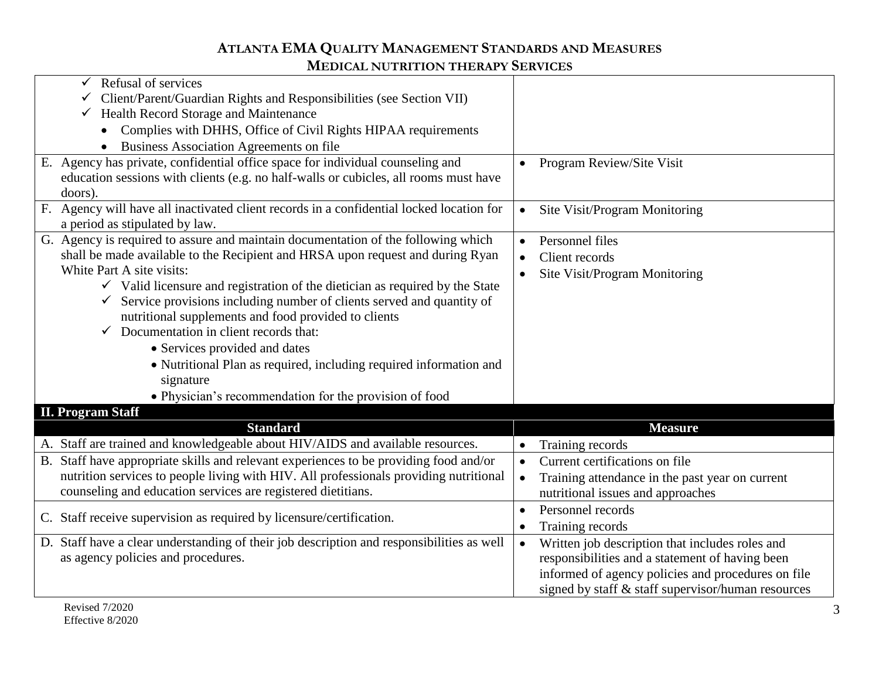| Refusal of services<br>$\checkmark$                                                       |                                                              |
|-------------------------------------------------------------------------------------------|--------------------------------------------------------------|
| Client/Parent/Guardian Rights and Responsibilities (see Section VII)<br>$\checkmark$      |                                                              |
| $\checkmark$ Health Record Storage and Maintenance                                        |                                                              |
| Complies with DHHS, Office of Civil Rights HIPAA requirements                             |                                                              |
| Business Association Agreements on file                                                   |                                                              |
| E. Agency has private, confidential office space for individual counseling and            | Program Review/Site Visit                                    |
| education sessions with clients (e.g. no half-walls or cubicles, all rooms must have      |                                                              |
| doors).                                                                                   |                                                              |
| F. Agency will have all inactivated client records in a confidential locked location for  | Site Visit/Program Monitoring<br>$\bullet$                   |
| a period as stipulated by law.                                                            |                                                              |
| G. Agency is required to assure and maintain documentation of the following which         | Personnel files<br>$\bullet$                                 |
| shall be made available to the Recipient and HRSA upon request and during Ryan            | Client records                                               |
| White Part A site visits:                                                                 | Site Visit/Program Monitoring<br>$\bullet$                   |
| $\checkmark$ Valid licensure and registration of the dietician as required by the State   |                                                              |
| Service provisions including number of clients served and quantity of                     |                                                              |
| nutritional supplements and food provided to clients                                      |                                                              |
| $\checkmark$ Documentation in client records that:                                        |                                                              |
| • Services provided and dates                                                             |                                                              |
| • Nutritional Plan as required, including required information and                        |                                                              |
| signature                                                                                 |                                                              |
| • Physician's recommendation for the provision of food                                    |                                                              |
| <b>II. Program Staff</b>                                                                  |                                                              |
| <b>Standard</b>                                                                           | <b>Measure</b>                                               |
| A. Staff are trained and knowledgeable about HIV/AIDS and available resources.            | Training records                                             |
| B. Staff have appropriate skills and relevant experiences to be providing food and/or     | Current certifications on file                               |
| nutrition services to people living with HIV. All professionals providing nutritional     | Training attendance in the past year on current<br>$\bullet$ |
| counseling and education services are registered dietitians.                              | nutritional issues and approaches                            |
|                                                                                           | Personnel records                                            |
| C. Staff receive supervision as required by licensure/certification.                      | Training records<br>$\bullet$                                |
| D. Staff have a clear understanding of their job description and responsibilities as well | Written job description that includes roles and<br>$\bullet$ |
| as agency policies and procedures.                                                        | responsibilities and a statement of having been              |
|                                                                                           | informed of agency policies and procedures on file           |
|                                                                                           | signed by staff & staff supervisor/human resources           |
|                                                                                           |                                                              |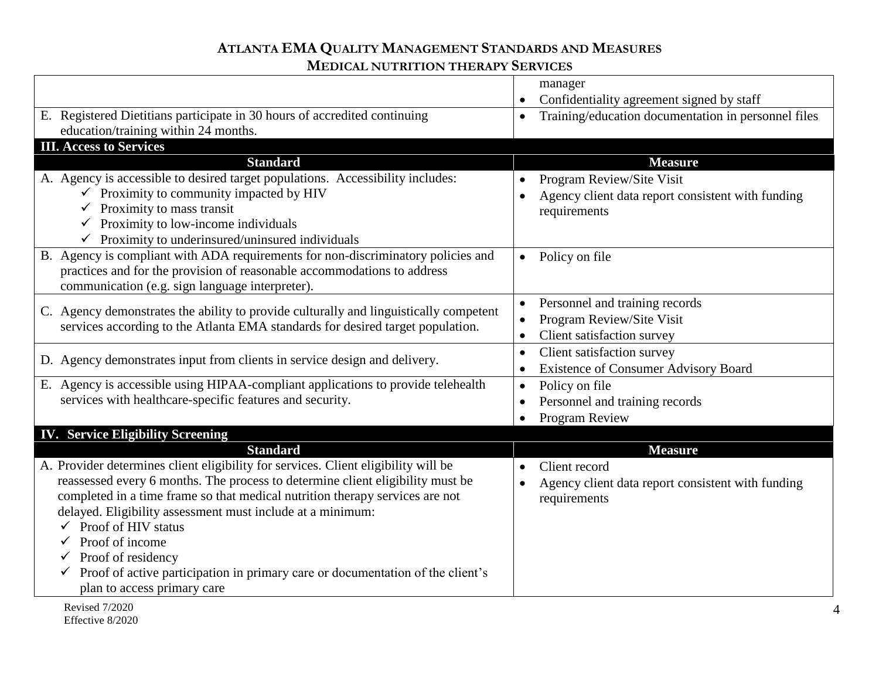|                                                                                             | manager                                                          |
|---------------------------------------------------------------------------------------------|------------------------------------------------------------------|
|                                                                                             | Confidentiality agreement signed by staff                        |
| E. Registered Dietitians participate in 30 hours of accredited continuing                   | Training/education documentation in personnel files<br>$\bullet$ |
| education/training within 24 months.                                                        |                                                                  |
| <b>III. Access to Services</b>                                                              |                                                                  |
| <b>Standard</b>                                                                             | <b>Measure</b>                                                   |
|                                                                                             |                                                                  |
| A. Agency is accessible to desired target populations. Accessibility includes:              | Program Review/Site Visit                                        |
| $\checkmark$ Proximity to community impacted by HIV                                         | Agency client data report consistent with funding                |
| $\checkmark$ Proximity to mass transit                                                      | requirements                                                     |
| $\checkmark$ Proximity to low-income individuals                                            |                                                                  |
| $\checkmark$ Proximity to underinsured/uninsured individuals                                |                                                                  |
| B. Agency is compliant with ADA requirements for non-discriminatory policies and            | Policy on file<br>$\bullet$                                      |
| practices and for the provision of reasonable accommodations to address                     |                                                                  |
| communication (e.g. sign language interpreter).                                             |                                                                  |
|                                                                                             | Personnel and training records<br>$\bullet$                      |
| C. Agency demonstrates the ability to provide culturally and linguistically competent       | Program Review/Site Visit                                        |
| services according to the Atlanta EMA standards for desired target population.              | Client satisfaction survey                                       |
|                                                                                             | Client satisfaction survey<br>$\bullet$                          |
| D. Agency demonstrates input from clients in service design and delivery.                   | <b>Existence of Consumer Advisory Board</b>                      |
| E. Agency is accessible using HIPAA-compliant applications to provide telehealth            | Policy on file                                                   |
| services with healthcare-specific features and security.                                    | $\bullet$                                                        |
|                                                                                             | Personnel and training records<br>$\bullet$                      |
|                                                                                             | <b>Program Review</b>                                            |
| <b>IV. Service Eligibility Screening</b>                                                    |                                                                  |
| <b>Standard</b>                                                                             | <b>Measure</b>                                                   |
| A. Provider determines client eligibility for services. Client eligibility will be          | Client record                                                    |
| reassessed every 6 months. The process to determine client eligibility must be              | Agency client data report consistent with funding                |
| completed in a time frame so that medical nutrition therapy services are not                | requirements                                                     |
| delayed. Eligibility assessment must include at a minimum:                                  |                                                                  |
| $\checkmark$ Proof of HIV status                                                            |                                                                  |
| Proof of income                                                                             |                                                                  |
| Proof of residency                                                                          |                                                                  |
| $\checkmark$ Proof of active participation in primary care or documentation of the client's |                                                                  |
| plan to access primary care                                                                 |                                                                  |
|                                                                                             |                                                                  |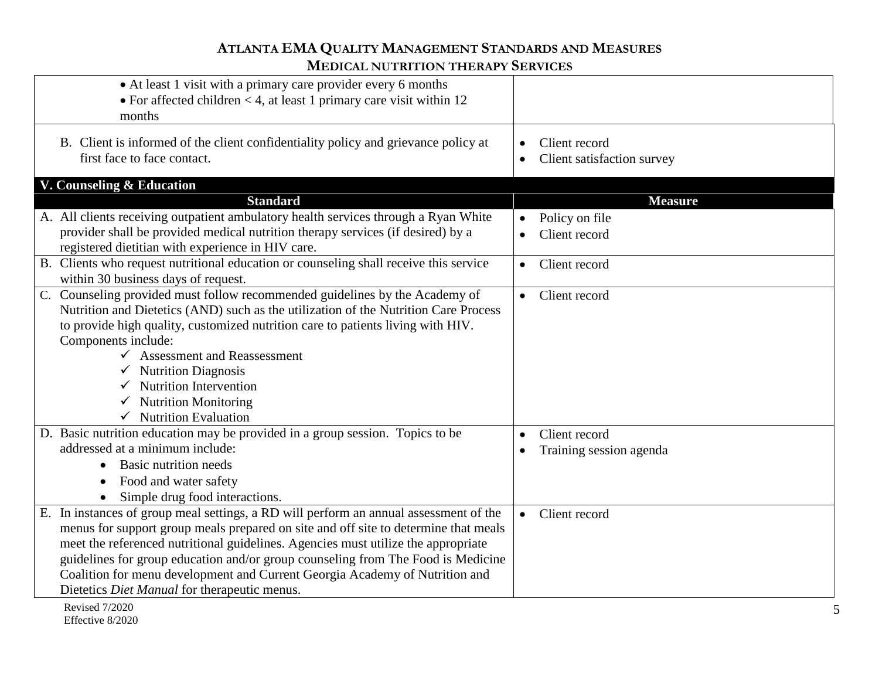| • At least 1 visit with a primary care provider every 6 months<br>• For affected children $<$ 4, at least 1 primary care visit within 12<br>months                                                                                                                                                                                                                                                                                                                                      |                                                          |
|-----------------------------------------------------------------------------------------------------------------------------------------------------------------------------------------------------------------------------------------------------------------------------------------------------------------------------------------------------------------------------------------------------------------------------------------------------------------------------------------|----------------------------------------------------------|
| B. Client is informed of the client confidentiality policy and grievance policy at<br>first face to face contact.                                                                                                                                                                                                                                                                                                                                                                       | Client record<br>Client satisfaction survey<br>$\bullet$ |
| V. Counseling & Education                                                                                                                                                                                                                                                                                                                                                                                                                                                               |                                                          |
| <b>Standard</b>                                                                                                                                                                                                                                                                                                                                                                                                                                                                         | <b>Measure</b>                                           |
| A. All clients receiving outpatient ambulatory health services through a Ryan White<br>provider shall be provided medical nutrition therapy services (if desired) by a<br>registered dietitian with experience in HIV care.                                                                                                                                                                                                                                                             | Policy on file<br>$\bullet$<br>Client record             |
| B. Clients who request nutritional education or counseling shall receive this service<br>within 30 business days of request.                                                                                                                                                                                                                                                                                                                                                            | Client record<br>$\bullet$                               |
| C. Counseling provided must follow recommended guidelines by the Academy of<br>Nutrition and Dietetics (AND) such as the utilization of the Nutrition Care Process<br>to provide high quality, customized nutrition care to patients living with HIV.<br>Components include:<br><b>Assessment and Reassessment</b><br>$\checkmark$ Nutrition Diagnosis<br><b>Nutrition Intervention</b><br><b>Nutrition Monitoring</b><br>$\checkmark$ Nutrition Evaluation                             | • Client record                                          |
| D. Basic nutrition education may be provided in a group session. Topics to be                                                                                                                                                                                                                                                                                                                                                                                                           | Client record                                            |
| addressed at a minimum include:                                                                                                                                                                                                                                                                                                                                                                                                                                                         | Training session agenda                                  |
| Basic nutrition needs<br>$\bullet$                                                                                                                                                                                                                                                                                                                                                                                                                                                      |                                                          |
| Food and water safety<br>$\bullet$                                                                                                                                                                                                                                                                                                                                                                                                                                                      |                                                          |
| Simple drug food interactions.                                                                                                                                                                                                                                                                                                                                                                                                                                                          |                                                          |
| In instances of group meal settings, a RD will perform an annual assessment of the<br>Е.<br>menus for support group meals prepared on site and off site to determine that meals<br>meet the referenced nutritional guidelines. Agencies must utilize the appropriate<br>guidelines for group education and/or group counseling from The Food is Medicine<br>Coalition for menu development and Current Georgia Academy of Nutrition and<br>Dietetics Diet Manual for therapeutic menus. | Client record<br>$\bullet$                               |